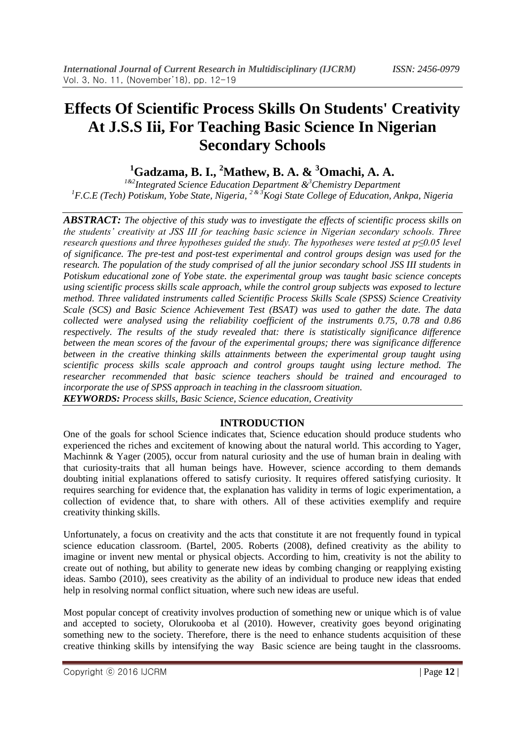# **Effects Of Scientific Process Skills On Students' Creativity At J.S.S Iii, For Teaching Basic Science In Nigerian Secondary Schools**

## **<sup>1</sup>Gadzama, B. I., <sup>2</sup>Mathew, B. A. & <sup>3</sup>Omachi, A. A.**

*1&2Integrated Science Education Department &<sup>3</sup>Chemistry Department <sup>1</sup>F.C.E (Tech) Potiskum, Yobe State, Nigeria, 2 & 3Kogi State College of Education, Ankpa, Nigeria*

*ABSTRACT: The objective of this study was to investigate the effects of scientific process skills on the students' creativity at JSS III for teaching basic science in Nigerian secondary schools. Three research questions and three hypotheses guided the study. The hypotheses were tested at p≤0.05 level of significance. The pre-test and post-test experimental and control groups design was used for the research. The population of the study comprised of all the junior secondary school JSS III students in Potiskum educational zone of Yobe state. the experimental group was taught basic science concepts using scientific process skills scale approach, while the control group subjects was exposed to lecture method. Three validated instruments called Scientific Process Skills Scale (SPSS) Science Creativity Scale (SCS) and Basic Science Achievement Test (BSAT) was used to gather the date. The data collected were analysed using the reliability coefficient of the instruments 0.75, 0.78 and 0.86 respectively. The results of the study revealed that: there is statistically significance difference between the mean scores of the favour of the experimental groups; there was significance difference between in the creative thinking skills attainments between the experimental group taught using scientific process skills scale approach and control groups taught using lecture method. The researcher recommended that basic science teachers should be trained and encouraged to incorporate the use of SPSS approach in teaching in the classroom situation. KEYWORDS: Process skills, Basic Science, Science education, Creativity*

### **INTRODUCTION**

One of the goals for school Science indicates that, Science education should produce students who experienced the riches and excitement of knowing about the natural world. This according to Yager, Machinnk & Yager (2005), occur from natural curiosity and the use of human brain in dealing with that curiosity-traits that all human beings have. However, science according to them demands doubting initial explanations offered to satisfy curiosity. It requires offered satisfying curiosity. It requires searching for evidence that, the explanation has validity in terms of logic experimentation, a collection of evidence that, to share with others. All of these activities exemplify and require creativity thinking skills.

Unfortunately, a focus on creativity and the acts that constitute it are not frequently found in typical science education classroom. (Bartel, 2005. Roberts (2008), defined creativity as the ability to imagine or invent new mental or physical objects. According to him, creativity is not the ability to create out of nothing, but ability to generate new ideas by combing changing or reapplying existing ideas. Sambo (2010), sees creativity as the ability of an individual to produce new ideas that ended help in resolving normal conflict situation, where such new ideas are useful.

Most popular concept of creativity involves production of something new or unique which is of value and accepted to society, Olorukooba et al (2010). However, creativity goes beyond originating something new to the society. Therefore, there is the need to enhance students acquisition of these creative thinking skills by intensifying the way Basic science are being taught in the classrooms.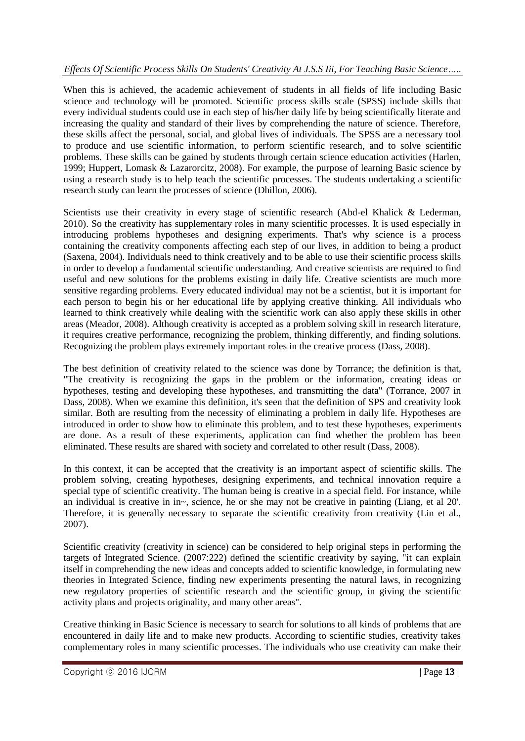### *Effects Of Scientific Process Skills On Students' Creativity At J.S.S Iii, For Teaching Basic Science…..*

When this is achieved, the academic achievement of students in all fields of life including Basic science and technology will be promoted. Scientific process skills scale (SPSS) include skills that every individual students could use in each step of his/her daily life by being scientifically literate and increasing the quality and standard of their lives by comprehending the nature of science. Therefore, these skills affect the personal, social, and global lives of individuals. The SPSS are a necessary tool to produce and use scientific information, to perform scientific research, and to solve scientific problems. These skills can be gained by students through certain science education activities (Harlen, 1999; Huppert, Lomask & Lazarorcitz, 2008). For example, the purpose of learning Basic science by using a research study is to help teach the scientific processes. The students undertaking a scientific research study can learn the processes of science (Dhillon, 2006).

Scientists use their creativity in every stage of scientific research (Abd-el Khalick & Lederman, 2010). So the creativity has supplementary roles in many scientific processes. It is used especially in introducing problems hypotheses and designing experiments. That's why science is a process containing the creativity components affecting each step of our lives, in addition to being a product (Saxena, 2004). Individuals need to think creatively and to be able to use their scientific process skills in order to develop a fundamental scientific understanding. And creative scientists are required to find useful and new solutions for the problems existing in daily life. Creative scientists are much more sensitive regarding problems. Every educated individual may not be a scientist, but it is important for each person to begin his or her educational life by applying creative thinking. All individuals who learned to think creatively while dealing with the scientific work can also apply these skills in other areas (Meador, 2008). Although creativity is accepted as a problem solving skill in research literature, it requires creative performance, recognizing the problem, thinking differently, and finding solutions. Recognizing the problem plays extremely important roles in the creative process (Dass, 2008).

The best definition of creativity related to the science was done by Torrance; the definition is that, "The creativity is recognizing the gaps in the problem or the information, creating ideas or hypotheses, testing and developing these hypotheses, and transmitting the data" (Torrance, 2007 in Dass, 2008). When we examine this definition, it's seen that the definition of SPS and creativity look similar. Both are resulting from the necessity of eliminating a problem in daily life. Hypotheses are introduced in order to show how to eliminate this problem, and to test these hypotheses, experiments are done. As a result of these experiments, application can find whether the problem has been eliminated. These results are shared with society and correlated to other result (Dass, 2008).

In this context, it can be accepted that the creativity is an important aspect of scientific skills. The problem solving, creating hypotheses, designing experiments, and technical innovation require a special type of scientific creativity. The human being is creative in a special field. For instance, while an individual is creative in in~, science, he or she may not be creative in painting (Liang, et al 20'. Therefore, it is generally necessary to separate the scientific creativity from creativity (Lin et al., 2007).

Scientific creativity (creativity in science) can be considered to help original steps in performing the targets of Integrated Science. (2007:222) defined the scientific creativity by saying, "it can explain itself in comprehending the new ideas and concepts added to scientific knowledge, in formulating new theories in Integrated Science, finding new experiments presenting the natural laws, in recognizing new regulatory properties of scientific research and the scientific group, in giving the scientific activity plans and projects originality, and many other areas".

Creative thinking in Basic Science is necessary to search for solutions to all kinds of problems that are encountered in daily life and to make new products. According to scientific studies, creativity takes complementary roles in many scientific processes. The individuals who use creativity can make their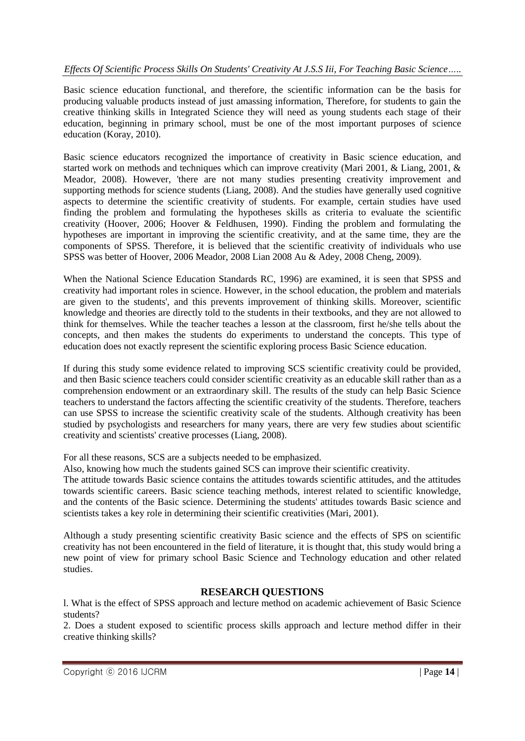### *Effects Of Scientific Process Skills On Students' Creativity At J.S.S Iii, For Teaching Basic Science…..*

Basic science education functional, and therefore, the scientific information can be the basis for producing valuable products instead of just amassing information, Therefore, for students to gain the creative thinking skills in Integrated Science they will need as young students each stage of their education, beginning in primary school, must be one of the most important purposes of science education (Koray, 2010).

Basic science educators recognized the importance of creativity in Basic science education, and started work on methods and techniques which can improve creativity (Mari 2001, & Liang, 2001, & Meador, 2008). However, 'there are not many studies presenting creativity improvement and supporting methods for science students (Liang, 2008). And the studies have generally used cognitive aspects to determine the scientific creativity of students. For example, certain studies have used finding the problem and formulating the hypotheses skills as criteria to evaluate the scientific creativity (Hoover, 2006; Hoover & Feldhusen, 1990). Finding the problem and formulating the hypotheses are important in improving the scientific creativity, and at the same time, they are the components of SPSS. Therefore, it is believed that the scientific creativity of individuals who use SPSS was better of Hoover, 2006 Meador, 2008 Lian 2008 Au & Adey, 2008 Cheng, 2009).

When the National Science Education Standards RC, 1996) are examined, it is seen that SPSS and creativity had important roles in science. However, in the school education, the problem and materials are given to the students', and this prevents improvement of thinking skills. Moreover, scientific knowledge and theories are directly told to the students in their textbooks, and they are not allowed to think for themselves. While the teacher teaches a lesson at the classroom, first he/she tells about the concepts, and then makes the students do experiments to understand the concepts. This type of education does not exactly represent the scientific exploring process Basic Science education.

If during this study some evidence related to improving SCS scientific creativity could be provided, and then Basic science teachers could consider scientific creativity as an educable skill rather than as a comprehension endowment or an extraordinary skill. The results of the study can help Basic Science teachers to understand the factors affecting the scientific creativity of the students. Therefore, teachers can use SPSS to increase the scientific creativity scale of the students. Although creativity has been studied by psychologists and researchers for many years, there are very few studies about scientific creativity and scientists' creative processes (Liang, 2008).

For all these reasons, SCS are a subjects needed to be emphasized.

Also, knowing how much the students gained SCS can improve their scientific creativity.

The attitude towards Basic science contains the attitudes towards scientific attitudes, and the attitudes towards scientific careers. Basic science teaching methods, interest related to scientific knowledge, and the contents of the Basic science. Determining the students' attitudes towards Basic science and scientists takes a key role in determining their scientific creativities (Mari, 2001).

Although a study presenting scientific creativity Basic science and the effects of SPS on scientific creativity has not been encountered in the field of literature, it is thought that, this study would bring a new point of view for primary school Basic Science and Technology education and other related studies.

### **RESEARCH QUESTIONS**

l. What is the effect of SPSS approach and lecture method on academic achievement of Basic Science students?

2. Does a student exposed to scientific process skills approach and lecture method differ in their creative thinking skills?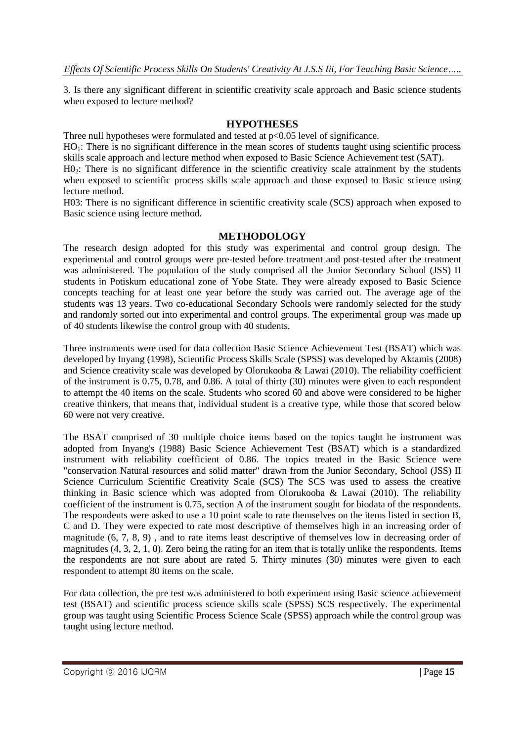3. Is there any significant different in scientific creativity scale approach and Basic science students when exposed to lecture method?

### **HYPOTHESES**

Three null hypotheses were formulated and tested at p<0.05 level of significance.

 $HO<sub>1</sub>$ : There is no significant difference in the mean scores of students taught using scientific process skills scale approach and lecture method when exposed to Basic Science Achievement test (SAT).

H0<sub>2</sub>: There is no significant difference in the scientific creativity scale attainment by the students when exposed to scientific process skills scale approach and those exposed to Basic science using lecture method.

H03: There is no significant difference in scientific creativity scale (SCS) approach when exposed to Basic science using lecture method.

### **METHODOLOGY**

The research design adopted for this study was experimental and control group design. The experimental and control groups were pre-tested before treatment and post-tested after the treatment was administered. The population of the study comprised all the Junior Secondary School (JSS) II students in Potiskum educational zone of Yobe State. They were already exposed to Basic Science concepts teaching for at least one year before the study was carried out. The average age of the students was 13 years. Two co-educational Secondary Schools were randomly selected for the study and randomly sorted out into experimental and control groups. The experimental group was made up of 40 students likewise the control group with 40 students.

Three instruments were used for data collection Basic Science Achievement Test (BSAT) which was developed by Inyang (1998), Scientific Process Skills Scale (SPSS) was developed by Aktamis (2008) and Science creativity scale was developed by Olorukooba & Lawai (2010). The reliability coefficient of the instrument is 0.75, 0.78, and 0.86. A total of thirty (30) minutes were given to each respondent to attempt the 40 items on the scale. Students who scored 60 and above were considered to be higher creative thinkers, that means that, individual student is a creative type, while those that scored below 60 were not very creative.

The BSAT comprised of 30 multiple choice items based on the topics taught he instrument was adopted from Inyang's (1988) Basic Science Achievement Test (BSAT) which is a standardized instrument with reliability coefficient of 0.86. The topics treated in the Basic Science were "conservation Natural resources and solid matter" drawn from the Junior Secondary, School (JSS) II Science Curriculum Scientific Creativity Scale (SCS) The SCS was used to assess the creative thinking in Basic science which was adopted from Olorukooba & Lawai (2010). The reliability coefficient of the instrument is 0.75, section A of the instrument sought for biodata of the respondents. The respondents were asked to use a 10 point scale to rate themselves on the items listed in section B, C and D. They were expected to rate most descriptive of themselves high in an increasing order of magnitude (6, 7, 8, 9) , and to rate items least descriptive of themselves low in decreasing order of magnitudes (4, 3, 2, 1, 0). Zero being the rating for an item that is totally unlike the respondents. Items the respondents are not sure about are rated 5. Thirty minutes (30) minutes were given to each respondent to attempt 80 items on the scale.

For data collection, the pre test was administered to both experiment using Basic science achievement test (BSAT) and scientific process science skills scale (SPSS) SCS respectively. The experimental group was taught using Scientific Process Science Scale (SPSS) approach while the control group was taught using lecture method.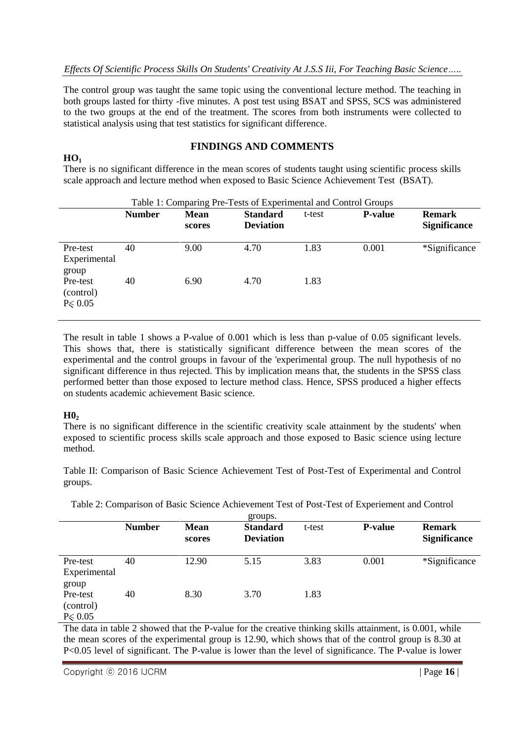The control group was taught the same topic using the conventional lecture method. The teaching in both groups lasted for thirty -five minutes. A post test using BSAT and SPSS, SCS was administered to the two groups at the end of the treatment. The scores from both instruments were collected to statistical analysis using that test statistics for significant difference.

### **FINDINGS AND COMMENTS**

There is no significant difference in the mean scores of students taught using scientific process skills scale approach and lecture method when exposed to Basic Science Achievement Test (BSAT).

| Table 1: Comparing Pre-Tests of Experimental and Control Groups |               |                       |                                     |        |                |                                      |  |
|-----------------------------------------------------------------|---------------|-----------------------|-------------------------------------|--------|----------------|--------------------------------------|--|
|                                                                 | <b>Number</b> | <b>Mean</b><br>scores | <b>Standard</b><br><b>Deviation</b> | t-test | <b>P-value</b> | <b>Remark</b><br><b>Significance</b> |  |
| Pre-test<br>Experimental<br>group                               | 40            | 9.00                  | 4.70                                | 1.83   | 0.001          | *Significance                        |  |
| Pre-test<br>(control)<br>$P \le 0.05$                           | 40            | 6.90                  | 4.70                                | 1.83   |                |                                      |  |

The result in table 1 shows a P-value of 0.001 which is less than p-value of 0.05 significant levels. This shows that, there is statistically significant difference between the mean scores of the experimental and the control groups in favour of the 'experimental group. The null hypothesis of no significant difference in thus rejected. This by implication means that, the students in the SPSS class performed better than those exposed to lecture method class. Hence, SPSS produced a higher effects on students academic achievement Basic science.

### **H0<sup>2</sup>**

**HO<sup>1</sup>**

There is no significant difference in the scientific creativity scale attainment by the students' when exposed to scientific process skills scale approach and those exposed to Basic science using lecture method.

Table II: Comparison of Basic Science Achievement Test of Post-Test of Experimental and Control groups.

|                                        |               |                       | groups.                             |        |                |                                      |
|----------------------------------------|---------------|-----------------------|-------------------------------------|--------|----------------|--------------------------------------|
|                                        | <b>Number</b> | <b>Mean</b><br>scores | <b>Standard</b><br><b>Deviation</b> | t-test | <b>P-value</b> | <b>Remark</b><br><b>Significance</b> |
| Pre-test<br>Experimental<br>group      | 40            | 12.90                 | 5.15                                | 3.83   | 0.001          | *Significance                        |
| Pre-test<br>(control)<br>$P \leq 0.05$ | 40            | 8.30                  | 3.70                                | 1.83   |                |                                      |

Table 2: Comparison of Basic Science Achievement Test of Post-Test of Experiement and Control

The data in table 2 showed that the P-value for the creative thinking skills attainment, is 0.001, while the mean scores of the experimental group is 12.90, which shows that of the control group is 8.30 at P<0.05 level of significant. The P-value is lower than the level of significance. The P-value is lower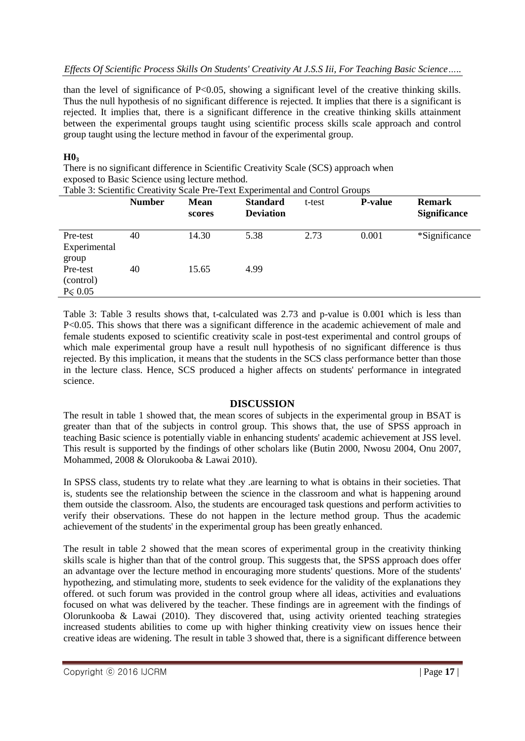### *Effects Of Scientific Process Skills On Students' Creativity At J.S.S Iii, For Teaching Basic Science…..*

than the level of significance of P<0.05, showing a significant level of the creative thinking skills. Thus the null hypothesis of no significant difference is rejected. It implies that there is a significant is rejected. It implies that, there is a significant difference in the creative thinking skills attainment between the experimental groups taught using scientific process skills scale approach and control group taught using the lecture method in favour of the experimental group.

### **H0<sup>3</sup>**

There is no significant difference in Scientific Creativity Scale (SCS) approach when exposed to Basic Science using lecture method.

Table 3: Scientific Creativity Scale Pre-Text Experimental and Control Groups

|                                       | <b>Number</b> | <b>Mean</b><br>scores | <b>Standard</b><br><b>Deviation</b> | t-test | <b>P-value</b> | <b>Remark</b><br><b>Significance</b> |
|---------------------------------------|---------------|-----------------------|-------------------------------------|--------|----------------|--------------------------------------|
| Pre-test<br>Experimental<br>group     | 40            | 14.30                 | 5.38                                | 2.73   | 0.001          | *Significance                        |
| Pre-test<br>(control)<br>$P \le 0.05$ | 40            | 15.65                 | 4.99                                |        |                |                                      |

Table 3: Table 3 results shows that, t-calculated was 2.73 and p-value is 0.001 which is less than P<0.05. This shows that there was a significant difference in the academic achievement of male and female students exposed to scientific creativity scale in post-test experimental and control groups of which male experimental group have a result null hypothesis of no significant difference is thus rejected. By this implication, it means that the students in the SCS class performance better than those in the lecture class. Hence, SCS produced a higher affects on students' performance in integrated science.

### **DISCUSSION**

The result in table 1 showed that, the mean scores of subjects in the experimental group in BSAT is greater than that of the subjects in control group. This shows that, the use of SPSS approach in teaching Basic science is potentially viable in enhancing students' academic achievement at JSS level. This result is supported by the findings of other scholars like (Butin 2000, Nwosu 2004, Onu 2007, Mohammed, 2008 & Olorukooba & Lawai 2010).

In SPSS class, students try to relate what they .are learning to what is obtains in their societies. That is, students see the relationship between the science in the classroom and what is happening around them outside the classroom. Also, the students are encouraged task questions and perform activities to verify their observations. These do not happen in the lecture method group. Thus the academic achievement of the students' in the experimental group has been greatly enhanced.

The result in table 2 showed that the mean scores of experimental group in the creativity thinking skills scale is higher than that of the control group. This suggests that, the SPSS approach does offer an advantage over the lecture method in encouraging more students' questions. More of the students' hypothezing, and stimulating more, students to seek evidence for the validity of the explanations they offered. ot such forum was provided in the control group where all ideas, activities and evaluations focused on what was delivered by the teacher. These findings are in agreement with the findings of Olorunkooba & Lawai (2010). They discovered that, using activity oriented teaching strategies increased students abilities to come up with higher thinking creativity view on issues hence their creative ideas are widening. The result in table 3 showed that, there is a significant difference between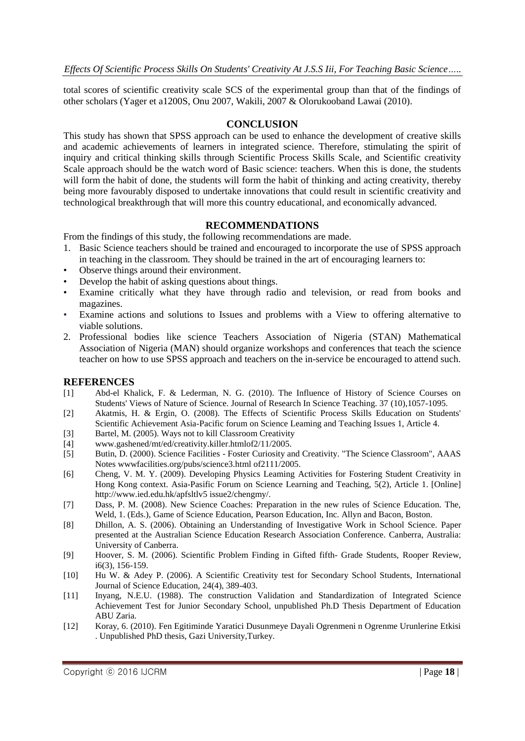total scores of scientific creativity scale SCS of the experimental group than that of the findings of other scholars (Yager et a1200S, Onu 2007, Wakili, 2007 & Olorukooband Lawai (2010).

### **CONCLUSION**

This study has shown that SPSS approach can be used to enhance the development of creative skills and academic achievements of learners in integrated science. Therefore, stimulating the spirit of inquiry and critical thinking skills through Scientific Process Skills Scale, and Scientific creativity Scale approach should be the watch word of Basic science: teachers. When this is done, the students will form the habit of done, the students will form the habit of thinking and acting creativity, thereby being more favourably disposed to undertake innovations that could result in scientific creativity and technological breakthrough that will more this country educational, and economically advanced.

### **RECOMMENDATIONS**

From the findings of this study, the following recommendations are made.

- 1. Basic Science teachers should be trained and encouraged to incorporate the use of SPSS approach in teaching in the classroom. They should be trained in the art of encouraging learners to:
- Observe things around their environment.
- Develop the habit of asking questions about things.
- Examine critically what they have through radio and television, or read from books and magazines.
- Examine actions and solutions to Issues and problems with a View to offering alternative to viable solutions.
- 2. Professional bodies like science Teachers Association of Nigeria (STAN) Mathematical Association of Nigeria (MAN) should organize workshops and conferences that teach the science teacher on how to use SPSS approach and teachers on the in-service be encouraged to attend such.

### **REFERENCES**

- [1] Abd-el Khalick, F. & Lederman, N. G. (2010). The Influence of History of Science Courses on Students' Views of Nature of Science. Journal of Research In Science Teaching. 37 (10),1057-1095.
- [2] Akatmis, H. & Ergin, O. (2008). The Effects of Scientific Process Skills Education on Students' Scientific Achievement Asia-Pacific forum on Science Leaming and Teaching Issues 1, Article 4.
- [3] Bartel, M. (2005). Ways not to kill Classroom Creativity
- [4] www.gashened/mt/ed/creativity.killer.htmlof2/11/2005.
- [5] Butin, D. (2000). Science Facilities Foster Curiosity and Creativity. "The Science Classroom", AAAS Notes wwwfacilities.org/pubs/science3.html of2111/2005.
- [6] Cheng, V. M. Y. (2009). Developing Physics Leaming Activities for Fostering Student Creativity in Hong Kong context. Asia-Pasific Forum on Science Learning and Teaching, 5(2), Article 1. [Online] http://www.ied.edu.hk/apfsltlv5 issue2/chengmy/.
- [7] Dass, P. M. (2008). New Science Coaches: Preparation in the new rules of Science Education. The, Weld, 1. (Eds.), Game of Science Education, Pearson Education, Inc. Allyn and Bacon, Boston.
- [8] Dhillon, A. S. (2006). Obtaining an Understanding of Investigative Work in School Science. Paper presented at the Australian Science Education Research Association Conference. Canberra, Australia: University of Canberra.
- [9] Hoover, S. M. (2006). Scientific Problem Finding in Gifted fifth- Grade Students, Rooper Review, i6(3), 156-159.
- [10] Hu W. & Adey P. (2006). A Scientific Creativity test for Secondary School Students, International Journal of Science Education, 24(4), 389-403.
- [11] Inyang, N.E.U. (1988). The construction Validation and Standardization of Integrated Science Achievement Test for Junior Secondary School, unpublished Ph.D Thesis Department of Education ABU Zaria.
- [12] Koray, 6. (2010). Fen Egitiminde Yaratici Dusunmeye Dayali Ogrenmeni n Ogrenme Urunlerine Etkisi . Unpublished PhD thesis, Gazi University,Turkey.